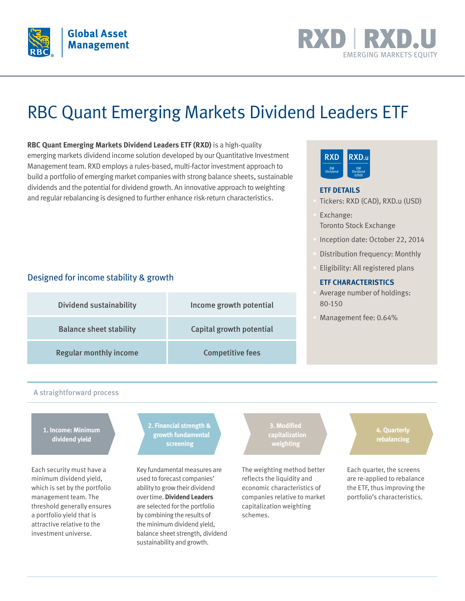



# RBC Quant Emerging Markets Dividend Leaders ETF

**RBC Quant Emerging Markets Dividend Leaders ETF (RXD)** is a high-quality emerging markets dividend income solution developed by our Quantitative Investment Management team. RXD employs a rules-based, multi-factor investment approach to build a portfolio of emerging market companies with strong balance sheets, sustainable dividends and the potential for dividend growth. An innovative approach to weighting and regular rebalancing is designed to further enhance risk-return characteristics.

### Designed for income stability & growth

| <b>Dividend sustainability</b> | Income growth potential  |
|--------------------------------|--------------------------|
| <b>Balance sheet stability</b> | Capital growth potential |
| <b>Regular monthly income</b>  | <b>Competitive fees</b>  |

#### RXD.u EM Dividend (USD) **RXD** EM Dividend

#### **ETF DETAILS**

- § Tickers: RXD (CAD), RXD.u (USD)
- § Exchange: Toronto Stock Exchange
- § Inception date: October 22, 2014
- § Distribution frequency: Monthly
- § Eligibility: All registered plans

#### **ETF CHARACTERISTICS**

- § Average number of holdings: 80-150
- § Management fee: 0.64%

#### A straightforward process

**1. Income: Minimum dividend yield**

Each security must have a minimum dividend yield, which is set by the portfolio management team. The threshold generally ensures a portfolio yield that is attractive relative to the investment universe.

**2. Financial strength & growth fundamental screening**

Key fundamental measures are used to forecast companies' ability to grow their dividend over time. **Dividend Leaders** are selected for the portfolio by combining the results of the minimum dividend yield, balance sheet strength, dividend sustainability and growth.

**capitalization weighting**

The weighting method better reflects the liquidity and economic characteristics of companies relative to market capitalization weighting schemes.

**4. Quarterly rebalancing**

Each quarter, the screens are re-applied to rebalance the ETF, thus improving the portfolio's characteristics.